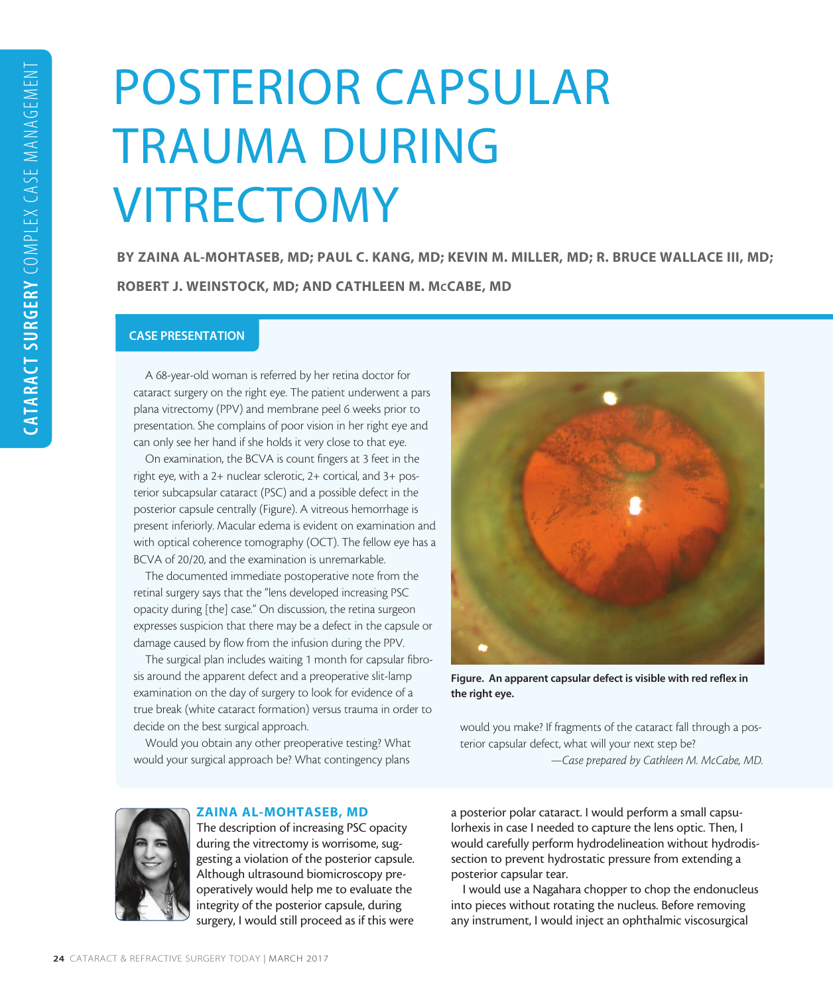# POSTERIOR CAPSULAR TRAUMA DURING VITRECTOMY

BY ZAINA AL-MOHTASEB, MD; PAUL C. KANG, MD; KEVIN M. MILLER, MD; R. BRUCE WALLACE III, MD; ROBERT J. WEINSTOCK, MD; AND CATHLEEN M. McCABE, MD

# CASE PRESENTATION

A 68-year-old woman is referred by her retina doctor for cataract surgery on the right eye. The patient underwent a pars plana vitrectomy (PPV) and membrane peel 6 weeks prior to presentation. She complains of poor vision in her right eye and can only see her hand if she holds it very close to that eye.

On examination, the BCVA is count fingers at 3 feet in the right eye, with a 2+ nuclear sclerotic, 2+ cortical, and 3+ posterior subcapsular cataract (PSC) and a possible defect in the posterior capsule centrally (Figure). A vitreous hemorrhage is present inferiorly. Macular edema is evident on examination and with optical coherence tomography (OCT). The fellow eye has a BCVA of 20/20, and the examination is unremarkable.

The documented immediate postoperative note from the retinal surgery says that the "lens developed increasing PSC opacity during [the] case." On discussion, the retina surgeon expresses suspicion that there may be a defect in the capsule or damage caused by flow from the infusion during the PPV.

The surgical plan includes waiting 1 month for capsular fibrosis around the apparent defect and a preoperative slit-lamp examination on the day of surgery to look for evidence of a true break (white cataract formation) versus trauma in order to decide on the best surgical approach.

Would you obtain any other preoperative testing? What would your surgical approach be? What contingency plans



Figure. An apparent capsular defect is visible with red reflex in the right eye.

would you make? If fragments of the cataract fall through a posterior capsular defect, what will your next step be? *—Case prepared by Cathleen M. McCabe, MD.*



# ZAINA AL-MOHTASEB, MD

The description of increasing PSC opacity during the vitrectomy is worrisome, suggesting a violation of the posterior capsule. Although ultrasound biomicroscopy preoperatively would help me to evaluate the integrity of the posterior capsule, during surgery, I would still proceed as if this were

a posterior polar cataract. I would perform a small capsulorhexis in case I needed to capture the lens optic. Then, I would carefully perform hydrodelineation without hydrodissection to prevent hydrostatic pressure from extending a posterior capsular tear.

I would use a Nagahara chopper to chop the endonucleus into pieces without rotating the nucleus. Before removing any instrument, I would inject an ophthalmic viscosurgical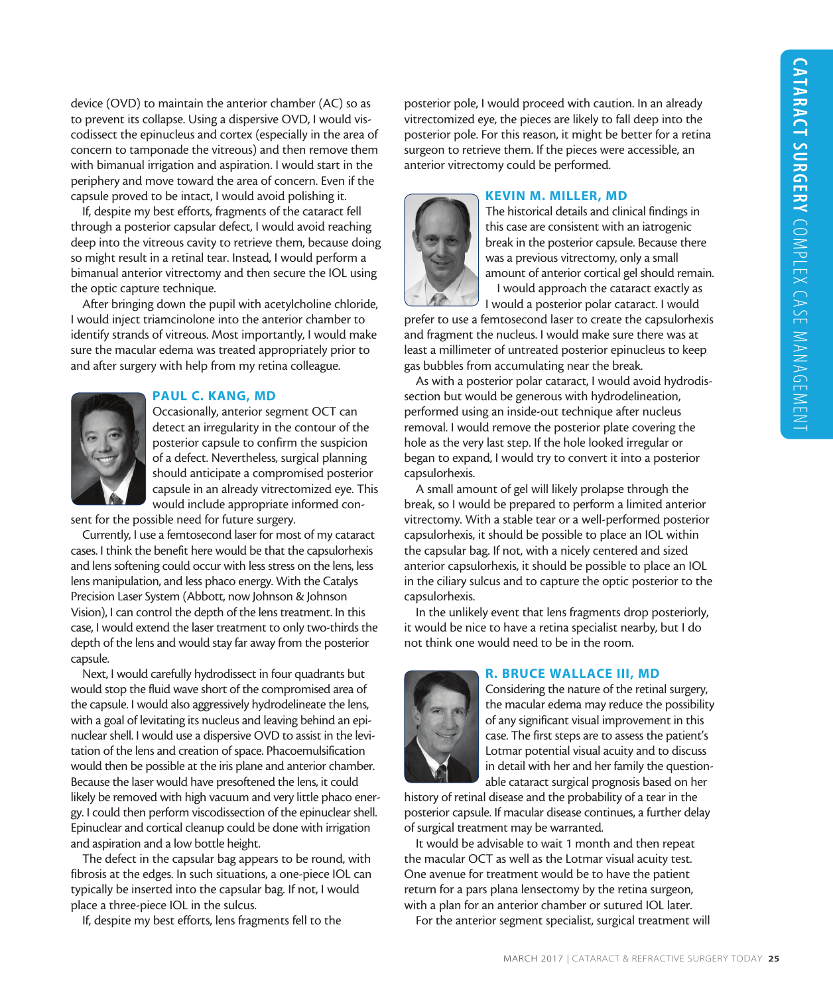device (OVD) to maintain the anterior chamber (AC) so as to prevent its collapse. Using a dispersive OVD, I would viscodissect the epinucleus and cortex (especially in the area of concern to tamponade the vitreous) and then remove them with bimanual irrigation and aspiration. I would start in the periphery and move toward the area of concern. Even if the capsule proved to be intact, I would avoid polishing it.

If, despite my best efforts, fragments of the cataract fell through a posterior capsular defect, I would avoid reaching deep into the vitreous cavity to retrieve them, because doing so might result in a retinal tear. Instead, I would perform a bimanual anterior vitrectomy and then secure the IOL using the optic capture technique.

After bringing down the pupil with acetylcholine chloride, I would inject triamcinolone into the anterior chamber to identify strands of vitreous. Most importantly, I would make sure the macular edema was treated appropriately prior to and after surgery with help from my retina colleague.

# PAUL C. KANG, MD

Occasionally, anterior segment OCT can detect an irregularity in the contour of the posterior capsule to confirm the suspicion of a defect. Nevertheless, surgical planning should anticipate a compromised posterior capsule in an already vitrectomized eye. This would include appropriate informed con-

sent for the possible need for future surgery.

Currently, I use a femtosecond laser for most of my cataract cases. I think the benefit here would be that the capsulorhexis and lens softening could occur with less stress on the lens, less lens manipulation, and less phaco energy. With the Catalys Precision Laser System (Abbott, now Johnson & Johnson Vision), I can control the depth of the lens treatment. In this case, I would extend the laser treatment to only two-thirds the depth of the lens and would stay far away from the posterior capsule.

Next, I would carefully hydrodissect in four quadrants but would stop the fluid wave short of the compromised area of the capsule. I would also aggressively hydrodelineate the lens, with a goal of levitating its nucleus and leaving behind an epinuclear shell. I would use a dispersive OVD to assist in the levitation of the lens and creation of space. Phacoemulsification would then be possible at the iris plane and anterior chamber. Because the laser would have presoftened the lens, it could likely be removed with high vacuum and very little phaco energy. I could then perform viscodissection of the epinuclear shell. Epinuclear and cortical cleanup could be done with irrigation and aspiration and a low bottle height.

The defect in the capsular bag appears to be round, with fibrosis at the edges. In such situations, a one-piece IOL can typically be inserted into the capsular bag. If not, I would place a three-piece IOL in the sulcus.

If, despite my best efforts, lens fragments fell to the

posterior pole, I would proceed with caution. In an already vitrectomized eye, the pieces are likely to fall deep into the posterior pole. For this reason, it might be better for a retina surgeon to retrieve them. If the pieces were accessible, an anterior vitrectomy could be performed.

#### KEVIN M. MILLER, MD



The historical details and clinical findings in this case are consistent with an iatrogenic break in the posterior capsule. Because there was a previous vitrectomy, only a small amount of anterior cortical gel should remain. I would approach the cataract exactly as I would a posterior polar cataract. I would

prefer to use a femtosecond laser to create the capsulorhexis and fragment the nucleus. I would make sure there was at least a millimeter of untreated posterior epinucleus to keep gas bubbles from accumulating near the break.

As with a posterior polar cataract, I would avoid hydrodissection but would be generous with hydrodelineation, performed using an inside-out technique after nucleus removal. I would remove the posterior plate covering the hole as the very last step. If the hole looked irregular or began to expand, I would try to convert it into a posterior capsulorhexis.

A small amount of gel will likely prolapse through the break, so I would be prepared to perform a limited anterior vitrectomy. With a stable tear or a well-performed posterior capsulorhexis, it should be possible to place an IOL within the capsular bag. If not, with a nicely centered and sized anterior capsulorhexis, it should be possible to place an IOL in the ciliary sulcus and to capture the optic posterior to the capsulorhexis.

In the unlikely event that lens fragments drop posteriorly, it would be nice to have a retina specialist nearby, but I do not think one would need to be in the room.

#### R. BRUCE WALLACE III, MD



Considering the nature of the retinal surgery, the macular edema may reduce the possibility of any significant visual improvement in this case. The first steps are to assess the patient's Lotmar potential visual acuity and to discuss in detail with her and her family the questionable cataract surgical prognosis based on her

history of retinal disease and the probability of a tear in the posterior capsule. If macular disease continues, a further delay of surgical treatment may be warranted.

It would be advisable to wait 1 month and then repeat the macular OCT as well as the Lotmar visual acuity test. One avenue for treatment would be to have the patient return for a pars plana lensectomy by the retina surgeon, with a plan for an anterior chamber or sutured IOL later.

For the anterior segment specialist, surgical treatment will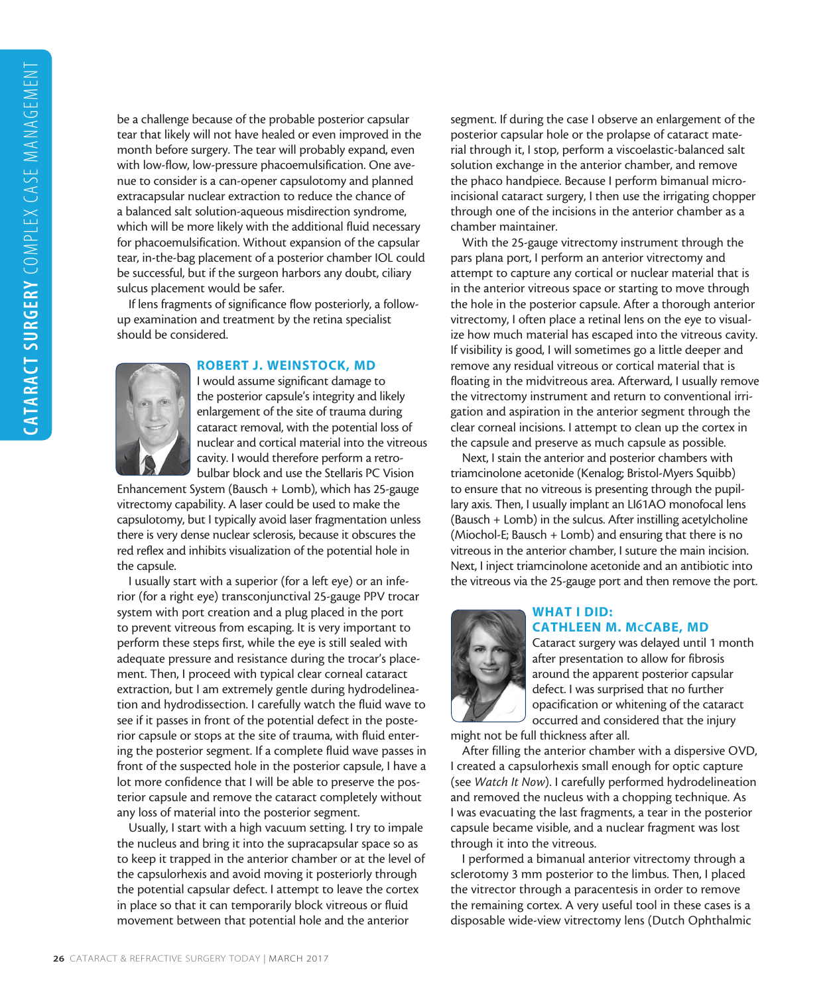be a challenge because of the probable posterior capsular tear that likely will not have healed or even improved in the month before surgery. The tear will probably expand, even with low-flow, low-pressure phacoemulsification. One avenue to consider is a can-opener capsulotomy and planned extracapsular nuclear extraction to reduce the chance of a balanced salt solution-aqueous misdirection syndrome, which will be more likely with the additional fluid necessary for phacoemulsification. Without expansion of the capsular tear, in-the-bag placement of a posterior chamber IOL could be successful, but if the surgeon harbors any doubt, ciliary sulcus placement would be safer.

If lens fragments of significance flow posteriorly, a followup examination and treatment by the retina specialist should be considered.

## ROBERT J. WEINSTOCK, MD

I would assume significant damage to the posterior capsule's integrity and likely enlargement of the site of trauma during cataract removal, with the potential loss of nuclear and cortical material into the vitreous cavity. I would therefore perform a retrobulbar block and use the Stellaris PC Vision

Enhancement System (Bausch + Lomb), which has 25-gauge vitrectomy capability. A laser could be used to make the capsulotomy, but I typically avoid laser fragmentation unless there is very dense nuclear sclerosis, because it obscures the red reflex and inhibits visualization of the potential hole in the capsule.

I usually start with a superior (for a left eye) or an inferior (for a right eye) transconjunctival 25-gauge PPV trocar system with port creation and a plug placed in the port to prevent vitreous from escaping. It is very important to perform these steps first, while the eye is still sealed with adequate pressure and resistance during the trocar's placement. Then, I proceed with typical clear corneal cataract extraction, but I am extremely gentle during hydrodelineation and hydrodissection. I carefully watch the fluid wave to see if it passes in front of the potential defect in the posterior capsule or stops at the site of trauma, with fluid entering the posterior segment. If a complete fluid wave passes in front of the suspected hole in the posterior capsule, I have a lot more confidence that I will be able to preserve the posterior capsule and remove the cataract completely without any loss of material into the posterior segment.

Usually, I start with a high vacuum setting. I try to impale the nucleus and bring it into the supracapsular space so as to keep it trapped in the anterior chamber or at the level of the capsulorhexis and avoid moving it posteriorly through the potential capsular defect. I attempt to leave the cortex in place so that it can temporarily block vitreous or fluid movement between that potential hole and the anterior

segment. If during the case I observe an enlargement of the posterior capsular hole or the prolapse of cataract material through it, I stop, perform a viscoelastic-balanced salt solution exchange in the anterior chamber, and remove the phaco handpiece. Because I perform bimanual microincisional cataract surgery, I then use the irrigating chopper through one of the incisions in the anterior chamber as a chamber maintainer.

With the 25-gauge vitrectomy instrument through the pars plana port, I perform an anterior vitrectomy and attempt to capture any cortical or nuclear material that is in the anterior vitreous space or starting to move through the hole in the posterior capsule. After a thorough anterior vitrectomy, I often place a retinal lens on the eye to visualize how much material has escaped into the vitreous cavity. If visibility is good, I will sometimes go a little deeper and remove any residual vitreous or cortical material that is floating in the midvitreous area. Afterward, I usually remove the vitrectomy instrument and return to conventional irrigation and aspiration in the anterior segment through the clear corneal incisions. I attempt to clean up the cortex in the capsule and preserve as much capsule as possible.

Next, I stain the anterior and posterior chambers with triamcinolone acetonide (Kenalog; Bristol-Myers Squibb) to ensure that no vitreous is presenting through the pupillary axis. Then, I usually implant an LI61AO monofocal lens (Bausch + Lomb) in the sulcus. After instilling acetylcholine (Miochol-E; Bausch + Lomb) and ensuring that there is no vitreous in the anterior chamber, I suture the main incision. Next, I inject triamcinolone acetonide and an antibiotic into the vitreous via the 25-gauge port and then remove the port.



## WHAT I DID: CATHLEEN M. McCABE, MD

Cataract surgery was delayed until 1 month after presentation to allow for fibrosis around the apparent posterior capsular defect. I was surprised that no further opacification or whitening of the cataract occurred and considered that the injury

might not be full thickness after all.

After filling the anterior chamber with a dispersive OVD, I created a capsulorhexis small enough for optic capture (see *Watch It Now*). I carefully performed hydrodelineation and removed the nucleus with a chopping technique. As I was evacuating the last fragments, a tear in the posterior capsule became visible, and a nuclear fragment was lost through it into the vitreous.

I performed a bimanual anterior vitrectomy through a sclerotomy 3 mm posterior to the limbus. Then, I placed the vitrector through a paracentesis in order to remove the remaining cortex. A very useful tool in these cases is a disposable wide-view vitrectomy lens (Dutch Ophthalmic